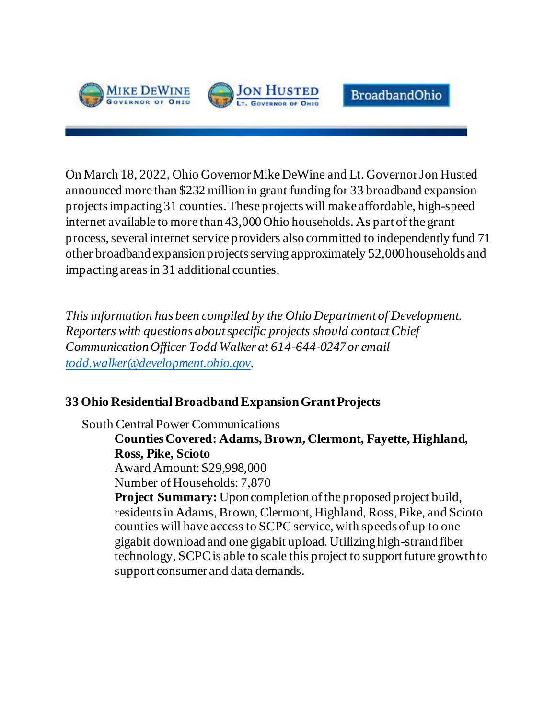



**BroadbandOhio** 

On March 18, 2022, Ohio Governor Mike DeWine and Lt. Governor Jon Husted announced more than \$232 million in grant funding for 33 broadband expansion projects impacting 31 counties. These projectswill make affordable, high-speed internet available to more than 43,000 Ohio households. As part of the grant process, several internet service providers also committed to independently fund 71 other broadband expansion projects serving approximately 52,000 households and impacting areas in 31 additional counties.

*This information has been compiled by the Ohio Department of Development. Reporters with questions about specific projects should contactChief Communication Officer Todd Walker at 614-644-0247 or email [todd.walker@development.ohio.gov](mailto:todd.walker@development.ohio.gov).* 

# **33 Ohio Residential Broadband Expansion Grant Projects**

South Central Power Communications

**Counties Covered: Adams, Brown, Clermont, Fayette, Highland, Ross, Pike, Scioto** Award Amount: \$29,998,000 Number of Households: 7,870 **Project Summary:** Upon completion of the proposed project build, residents in Adams, Brown, Clermont, Highland, Ross, Pike, and Scioto counties will have access to SCPC service, with speeds of up to one gigabit download and one gigabit upload. Utilizing high-strand fiber technology, SCPC is able to scale this project to support future growth to support consumer and data demands.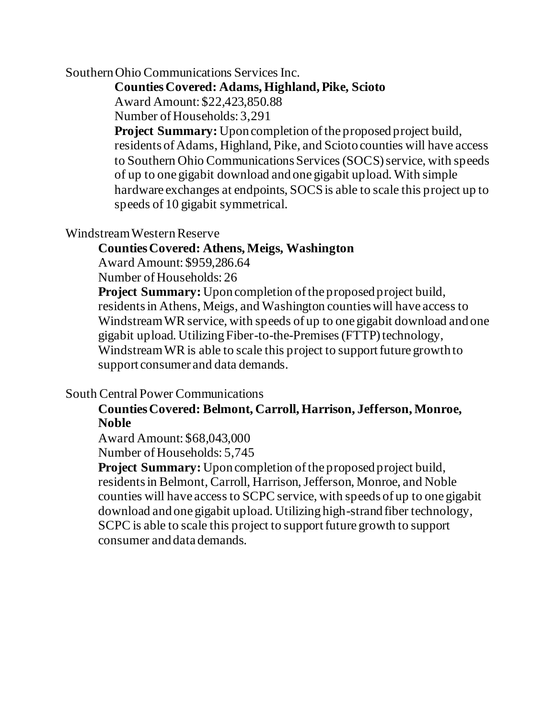Southern Ohio Communications Services Inc.

## **Counties Covered: Adams, Highland, Pike, Scioto**

Award Amount: \$22,423,850.88

Number of Households: 3,291

**Project Summary:** Upon completion of the proposed project build, residents of Adams, Highland, Pike, and Scioto counties will have access to Southern Ohio Communications Services (SOCS) service, with speeds of up to one gigabit download and one gigabit upload. With simple hardware exchanges at endpoints, SOCS is able to scale this project up to speeds of 10 gigabit symmetrical.

# Windstream WesternReserve

# **Counties Covered: Athens, Meigs, Washington**

Award Amount: \$959,286.64

Number of Households: 26

**Project Summary:** Upon completion of the proposed project build, residents in Athens, Meigs, and Washington countieswill have access to Windstream WR service, with speeds of up to one gigabit download and one gigabit upload. Utilizing Fiber-to-the-Premises (FTTP) technology, Windstream WR is able to scale this project to support future growth to support consumer and data demands.

# South Central Power Communications

# **Counties Covered: Belmont, Carroll, Harrison, Jefferson, Monroe, Noble**

Award Amount: \$68,043,000 Number of Households: 5,745

**Project Summary:** Upon completion of the proposed project build, residents in Belmont, Carroll, Harrison, Jefferson, Monroe, and Noble counties will have access to SCPC service, with speeds of up to one gigabit download and one gigabit upload. Utilizing high-strand fiber technology, SCPC is able to scale this project to support future growth to support consumer and data demands.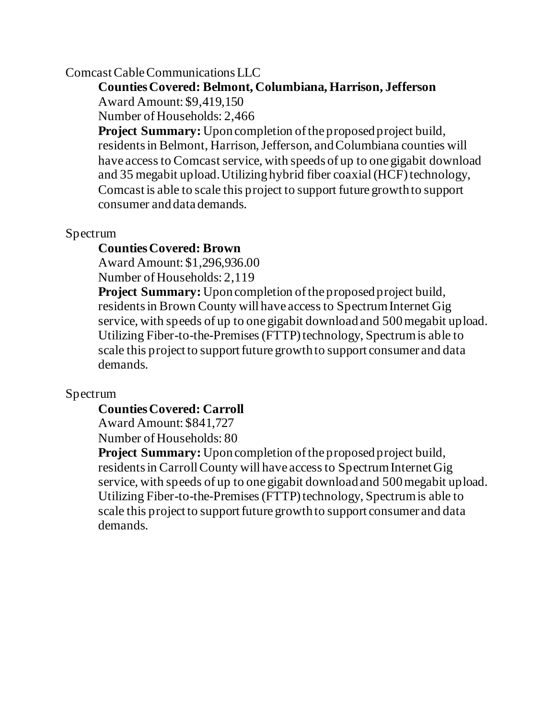# Comcast Cable Communications LLC

# **Counties Covered: Belmont, Columbiana, Harrison, Jefferson**  Award Amount: \$9,419,150

Number of Households: 2,466

**Project Summary:** Upon completion of the proposed project build, residents in Belmont, Harrison, Jefferson, and Columbiana counties will have access to Comcast service, with speeds of up to one gigabit download and 35 megabit upload. Utilizing hybrid fiber coaxial(HCF) technology, Comcast is able to scale this project to support future growth to support consumer and data demands.

# Spectrum

# **Counties Covered: Brown**

Award Amount: \$1,296,936.00

Number of Households: 2,119

**Project Summary:** Upon completion of the proposed project build, residents in Brown County will have access to Spectrum Internet Gig service, with speeds of up to one gigabit download and 500megabit upload. Utilizing Fiber-to-the-Premises (FTTP) technology, Spectrum is able to scale this project to support future growth to support consumer and data demands.

# Spectrum

## **Counties Covered: Carroll**

Award Amount: \$841,727

Number of Households: 80

**Project Summary:** Upon completion of the proposed project build, residents in Carroll County will have access to Spectrum Internet Gig service, with speeds of up to one gigabit download and 500megabit upload. Utilizing Fiber-to-the-Premises (FTTP) technology, Spectrum is able to scale this project to support future growth to support consumer and data demands.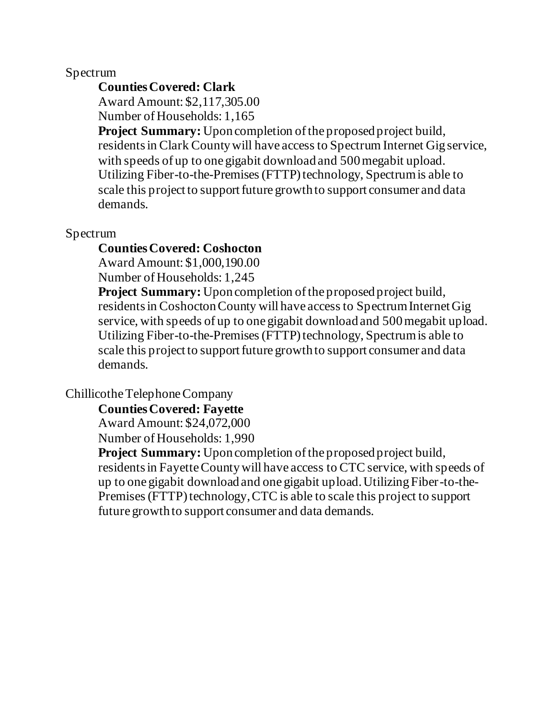## **Counties Covered: Clark**

Award Amount: \$2,117,305.00

Number of Households: 1,165

**Project Summary:** Upon completion of the proposed project build, residents in Clark County will have access to Spectrum Internet Gig service, with speeds of up to one gigabit download and 500 megabit upload. Utilizing Fiber-to-the-Premises (FTTP) technology, Spectrum is able to scale this project to support future growth to support consumer and data demands.

## Spectrum

### **Counties Covered: Coshocton**

Award Amount: \$1,000,190.00

Number of Households: 1,245

**Project Summary:** Upon completion of the proposed project build, residents in Coshocton County will have access to Spectrum Internet Gig service, with speeds of up to one gigabit download and 500megabit upload. Utilizing Fiber-to-the-Premises (FTTP) technology, Spectrum is able to scale this project to support future growth to support consumer and data demands.

## Chillicothe Telephone Company

**Counties Covered: Fayette**

Award Amount: \$24,072,000

Number of Households: 1,990

**Project Summary:** Upon completion of the proposed project build, residents in Fayette County will have access to CTC service, with speeds of up to one gigabit download and one gigabit upload. Utilizing Fiber-to-the-Premises (FTTP) technology, CTC is able to scale this project to support future growth to support consumer and data demands.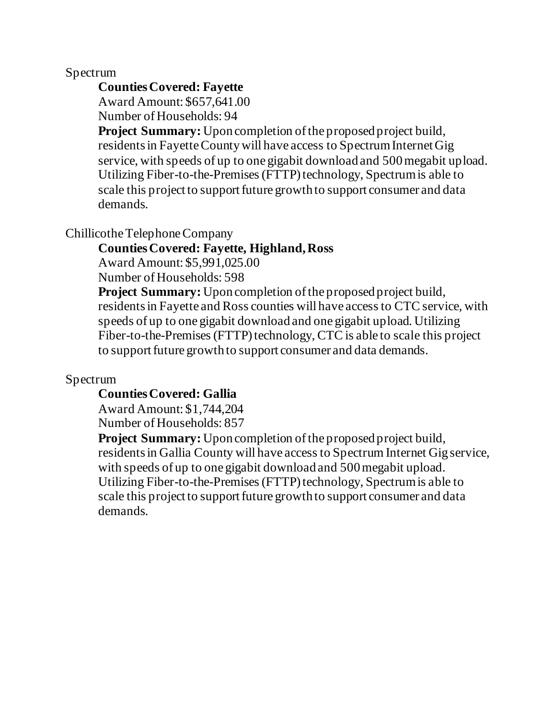## **Counties Covered: Fayette**

Award Amount: \$657,641.00 Number of Households: 94

**Project Summary:** Upon completion of the proposed project build, residents in Fayette County will have access to Spectrum Internet Gig service, with speeds of up to one gigabit download and 500megabit upload. Utilizing Fiber-to-the-Premises (FTTP) technology, Spectrum is able to scale this project to support future growth to support consumer and data demands.

# Chillicothe Telephone Company

# **Counties Covered: Fayette, Highland, Ross**

Award Amount: \$5,991,025.00

Number of Households: 598

**Project Summary:** Upon completion of the proposed project build, residents in Fayette and Ross counties will have access to CTC service, with speeds of up to one gigabit download and one gigabit upload. Utilizing Fiber-to-the-Premises (FTTP) technology, CTC is able to scale this project to support future growth to support consumer and data demands.

# Spectrum

# **Counties Covered: Gallia**

Award Amount: \$1,744,204 Number of Households: 857

**Project Summary:** Upon completion of the proposed project build, residents in Gallia County will have access to Spectrum Internet Gig service, with speeds of up to one gigabit download and 500 megabit upload. Utilizing Fiber-to-the-Premises (FTTP) technology, Spectrum is able to scale this project to support future growth to support consumer and data demands.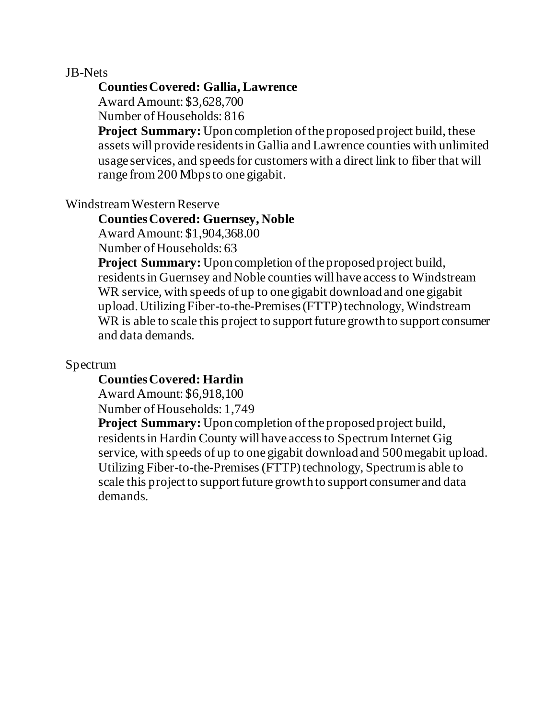### JB-Nets

### **Counties Covered: Gallia, Lawrence**

Award Amount: \$3,628,700

Number of Households: 816

**Project Summary:** Upon completion of the proposed project build, these assets will provide residents in Gallia and Lawrence counties with unlimited usage services, and speeds for customers with a direct link to fiber that will range from 200 Mbps to one gigabit.

## Windstream WesternReserve

### **Counties Covered: Guernsey, Noble**

Award Amount: \$1,904,368.00

Number of Households: 63

**Project Summary:** Upon completion of the proposed project build, residents in Guernsey and Noble counties will have access to Windstream WR service, with speeds of up to one gigabit download and one gigabit upload. Utilizing Fiber-to-the-Premises (FTTP) technology, Windstream WR is able to scale this project to support future growth to support consumer and data demands.

## Spectrum

## **Counties Covered: Hardin**

Award Amount: \$6,918,100

Number of Households: 1,749

**Project Summary:** Upon completion of the proposed project build, residents in Hardin County will have access to Spectrum Internet Gig service, with speeds of up to one gigabit download and 500megabit upload. Utilizing Fiber-to-the-Premises (FTTP) technology, Spectrum is able to scale this project to support future growth to support consumer and data demands.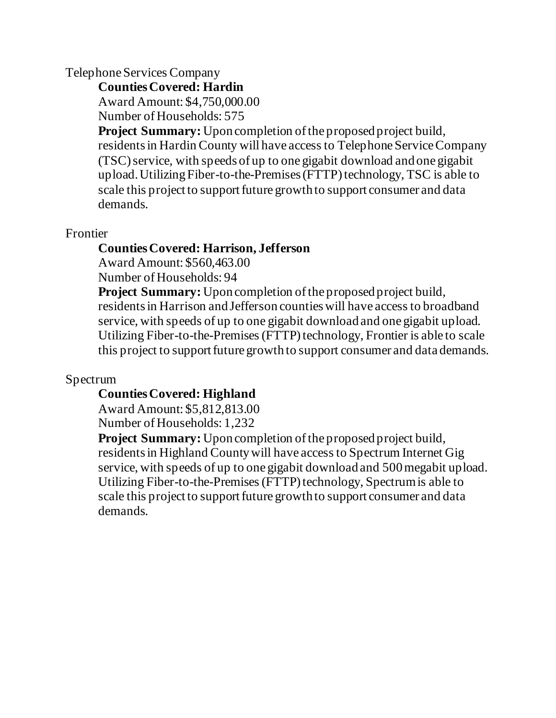## Telephone Services Company

**Counties Covered: Hardin**

Award Amount: \$4,750,000.00

Number of Households: 575

**Project Summary:** Upon completion of the proposed project build, residents in Hardin County will have access to Telephone Service Company (TSC) service, with speeds of up to one gigabit download and one gigabit upload. Utilizing Fiber-to-the-Premises (FTTP) technology, TSC is able to scale this project to support future growth to support consumer and data demands.

# Frontier

# **Counties Covered: Harrison, Jefferson**

Award Amount: \$560,463.00

Number of Households: 94

**Project Summary:** Upon completion of the proposed project build, residents in Harrison and Jefferson countieswill have access to broadband service, with speeds of up to one gigabit download and one gigabit upload. Utilizing Fiber-to-the-Premises (FTTP) technology, Frontier is able to scale this project to support future growth to support consumer and data demands.

# Spectrum

# **Counties Covered: Highland**

Award Amount: \$5,812,813.00 Number of Households: 1,232

**Project Summary:** Upon completion of the proposed project build, residents in Highland County will have access to Spectrum Internet Gig service, with speeds of up to one gigabit download and 500megabit upload. Utilizing Fiber-to-the-Premises (FTTP) technology, Spectrum is able to scale this project to support future growth to support consumer and data demands.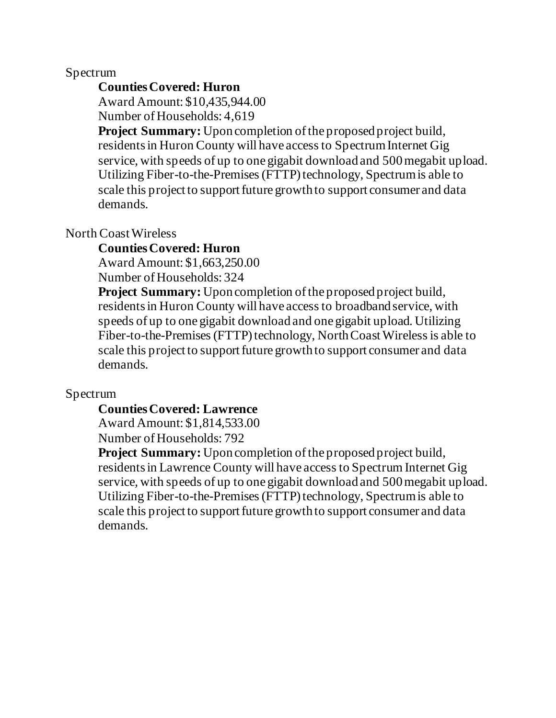## **Counties Covered: Huron**

Award Amount: \$10,435,944.00 Number of Households: 4,619

**Project Summary:** Upon completion of the proposed project build, residents in Huron County will have access to Spectrum Internet Gig service, with speeds of up to one gigabit download and 500megabit upload. Utilizing Fiber-to-the-Premises (FTTP) technology, Spectrum is able to scale this project to support future growth to support consumer and data demands.

## North Coast Wireless

### **Counties Covered: Huron**

Award Amount: \$1,663,250.00

Number of Households: 324

**Project Summary:** Upon completion of the proposed project build, residents in Huron County will have access to broadband service, with speeds of up to one gigabit download and one gigabit upload. Utilizing Fiber-to-the-Premises (FTTP) technology, North CoastWireless is able to scale this project to support future growth to support consumer and data demands.

## Spectrum

### **Counties Covered: Lawrence**

Award Amount: \$1,814,533.00 Number of Households: 792

**Project Summary:** Upon completion of the proposed project build, residents in Lawrence County will have access to Spectrum Internet Gig service, with speeds of up to one gigabit download and 500megabit upload. Utilizing Fiber-to-the-Premises (FTTP) technology, Spectrum is able to scale this project to support future growth to support consumer and data demands.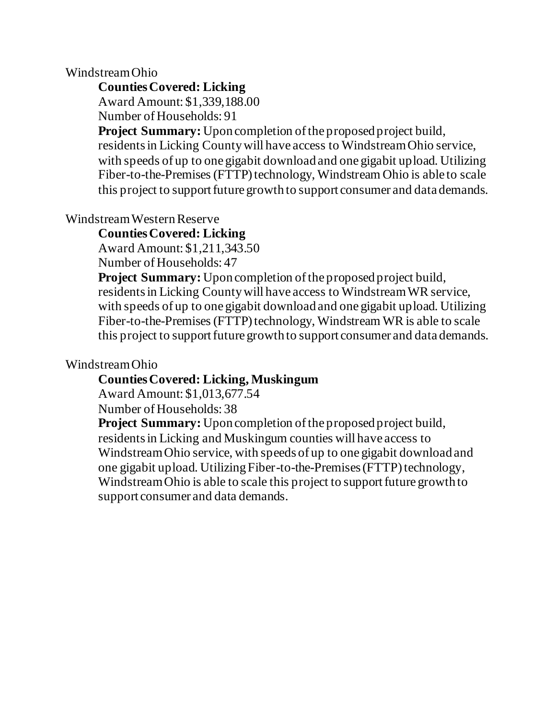### Windstream Ohio

**Counties Covered: Licking**

Award Amount: \$1,339,188.00

Number of Households: 91

**Project Summary:** Upon completion of the proposed project build, residents in Licking County will have access to Windstream Ohio service, with speeds of up to one gigabit download and one gigabit upload. Utilizing Fiber-to-the-Premises (FTTP) technology, Windstream Ohio is able to scale this project to support future growth to support consumer and data demands.

Windstream Western Reserve

**Counties Covered: Licking**

Award Amount: \$1,211,343.50

Number of Households: 47

**Project Summary:** Upon completion of the proposed project build, residents in Licking County will have access to Windstream WR service, with speeds of up to one gigabit download and one gigabit upload. Utilizing Fiber-to-the-Premises (FTTP) technology, Windstream WR is able to scale this project to support future growth to support consumer and data demands.

## Windstream Ohio

# **Counties Covered: Licking, Muskingum**

Award Amount: \$1,013,677.54

Number of Households: 38

**Project Summary:** Upon completion of the proposed project build, residents in Licking and Muskingum counties will have access to Windstream Ohio service, with speeds of up to one gigabit download and one gigabit upload. Utilizing Fiber-to-the-Premises (FTTP) technology, Windstream Ohio is able to scale this project to support future growth to support consumer and data demands.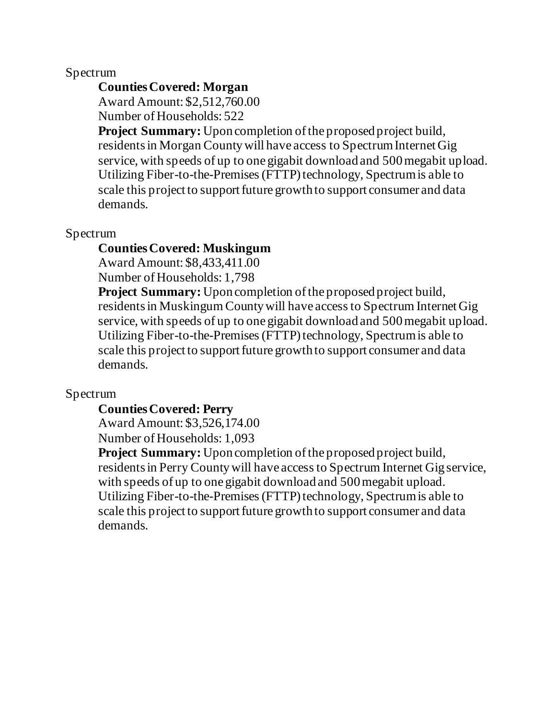# **Counties Covered: Morgan**

Award Amount: \$2,512,760.00 Number of Households: 522

**Project Summary:** Upon completion of the proposed project build, residents in Morgan County will have access to Spectrum Internet Gig service, with speeds of up to one gigabit download and 500megabit upload. Utilizing Fiber-to-the-Premises (FTTP) technology, Spectrum is able to scale this project to support future growth to support consumer and data demands.

# Spectrum

## **Counties Covered: Muskingum**

Award Amount: \$8,433,411.00

Number of Households: 1,798

**Project Summary:** Upon completion of the proposed project build, residents in Muskingum County will have access to Spectrum Internet Gig service, with speeds of up to one gigabit download and 500megabit upload. Utilizing Fiber-to-the-Premises (FTTP) technology, Spectrum is able to scale this project to support future growth to support consumer and data demands.

## Spectrum

## **Counties Covered: Perry**

Award Amount: \$3,526,174.00 Number of Households: 1,093

**Project Summary:** Upon completion of the proposed project build, residents in Perry County will have access to Spectrum Internet Gig service, with speeds of up to one gigabit download and 500 megabit upload. Utilizing Fiber-to-the-Premises (FTTP) technology, Spectrum is able to scale this project to support future growth to support consumer and data demands.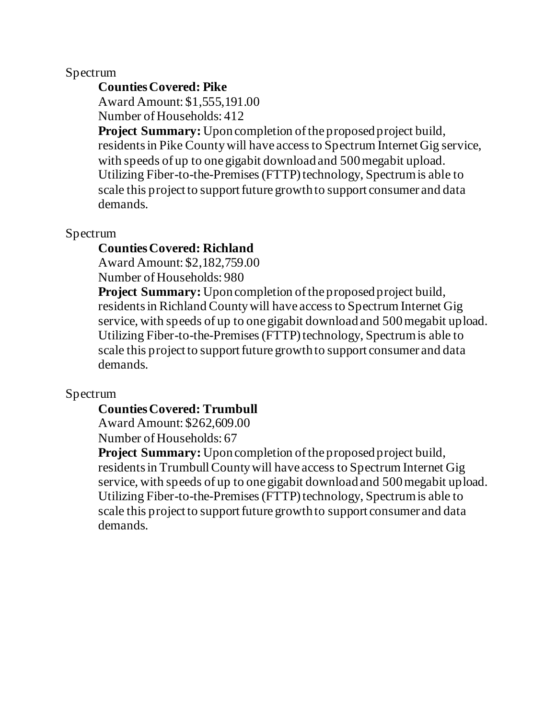# **Counties Covered: Pike**

Award Amount: \$1,555,191.00

Number of Households: 412

**Project Summary:** Upon completion of the proposed project build, residents in Pike County will have access to Spectrum Internet Gig service, with speeds of up to one gigabit download and 500 megabit upload. Utilizing Fiber-to-the-Premises (FTTP) technology, Spectrum is able to scale this project to support future growth to support consumer and data demands.

## Spectrum

## **Counties Covered: Richland**

Award Amount: \$2,182,759.00

Number of Households: 980

**Project Summary:** Upon completion of the proposed project build, residents in Richland County will have access to Spectrum Internet Gig service, with speeds of up to one gigabit download and 500megabit upload. Utilizing Fiber-to-the-Premises (FTTP) technology, Spectrum is able to scale this project to support future growth to support consumer and data demands.

## Spectrum

### **Counties Covered: Trumbull**

Award Amount: \$262,609.00 Number of Households: 67

**Project Summary:** Upon completion of the proposed project build, residents in Trumbull County will have access to Spectrum Internet Gig service, with speeds of up to one gigabit download and 500megabit upload. Utilizing Fiber-to-the-Premises (FTTP) technology, Spectrum is able to scale this project to support future growth to support consumer and data demands.